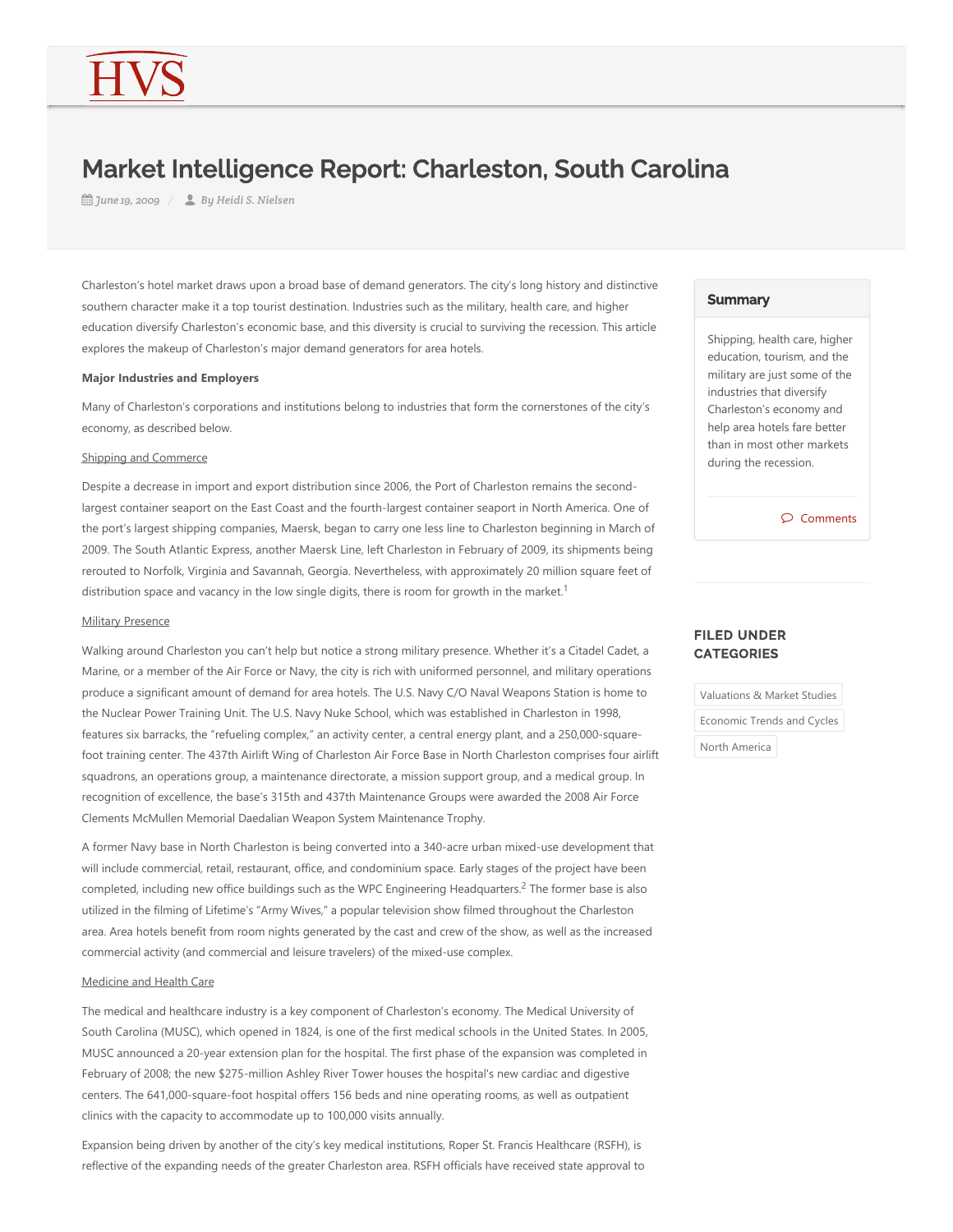# Market Intelligence Report: Charleston, South Carolina

*June 19, 2009 By Heidi S. Nielsen*

Charleston's hotel market draws upon a broad base of demand generators. The city's long history and distinctive southern character make it a top tourist destination. Industries such as the military, health care, and higher education diversify Charleston's economic base, and this diversity is crucial to surviving the recession. This article explores the makeup of Charleston's major demand generators for area hotels.

## **Major Industries and Employers**

Many of Charleston's corporations and institutions belong to industries that form the cornerstones of the city's economy, as described below.

#### Shipping and Commerce

Despite a decrease in import and export distribution since 2006, the Port of Charleston remains the secondlargest container seaport on the East Coast and the fourth‐largest container seaport in North America. One of the port's largest shipping companies, Maersk, began to carry one less line to Charleston beginning in March of 2009. The South Atlantic Express, another Maersk Line, left Charleston in February of 2009, its shipments being rerouted to Norfolk, Virginia and Savannah, Georgia. Nevertheless, with approximately 20 million square feet of distribution space and vacancy in the low single digits, there is room for growth in the market.<sup>1</sup>

## **Military Presence**

Walking around Charleston you can't help but notice a strong military presence. Whether it's a Citadel Cadet, a Marine, or a member of the Air Force or Navy, the city is rich with uniformed personnel, and military operations produce a significant amount of demand for area hotels. The U.S. Navy C/O Naval Weapons Station is home to the Nuclear Power Training Unit. The U.S. Navy Nuke School, which was established in Charleston in 1998, features six barracks, the "refueling complex," an activity center, a central energy plant, and a 250,000-squarefoot training center. The 437th Airlift Wing of Charleston Air Force Base in North Charleston comprises four airlift squadrons, an operations group, a maintenance directorate, a mission support group, and a medical group. In recognition of excellence, the base's 315th and 437th Maintenance Groups were awarded the 2008 Air Force Clements McMullen Memorial Daedalian Weapon System Maintenance Trophy.

A former Navy base in North Charleston is being converted into a 340‐acre urban mixed‐use development that will include commercial, retail, restaurant, office, and condominium space. Early stages of the project have been completed, including new office buildings such as the WPC Engineering Headquarters.<sup>2</sup> The former base is also utilized in the filming of Lifetime's "Army Wives," a popular television show filmed throughout the Charleston area. Area hotels benefit from room nights generated by the cast and crew of the show, as well as the increased commercial activity (and commercial and leisure travelers) of the mixed-use complex.

## Medicine and Health Care

The medical and healthcare industry is a key component of Charleston's economy. The Medical University of South Carolina (MUSC), which opened in 1824, is one of the first medical schools in the United States. In 2005, MUSC announced a 20‐year extension plan for the hospital. The first phase of the expansion was completed in February of 2008; the new \$275-million Ashley River Tower houses the hospital's new cardiac and digestive centers. The 641,000-square-foot hospital offers 156 beds and nine operating rooms, as well as outpatient clinics with the capacity to accommodate up to 100,000 visits annually.

Expansion being driven by another of the city's key medical institutions, Roper St. Francis Healthcare (RSFH), is reflective of the expanding needs of the greater Charleston area. RSFH officials have received state approval to

### **Summary**

Shipping, health care, higher education, tourism, and the military are just some of the industries that diversify Charleston's economy and help area hotels fare better than in most other markets during the recession.

Comments

# FILED UNDER **CATEGORIES**

Valuations & Market Studies Economic Trends and Cycles

North America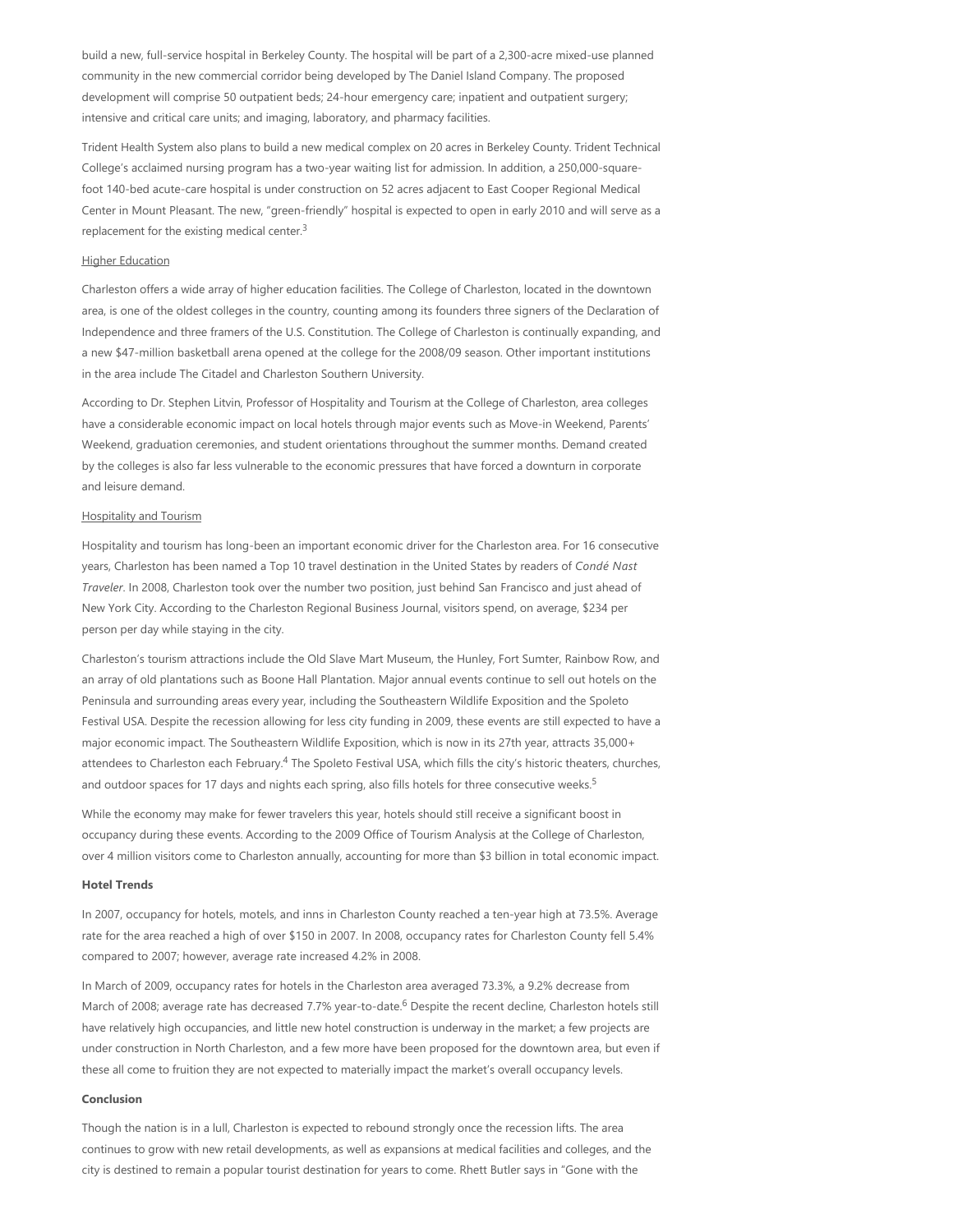build a new, full-service hospital in Berkeley County. The hospital will be part of a 2,300-acre mixed-use planned community in the new commercial corridor being developed by The Daniel Island Company. The proposed development will comprise 50 outpatient beds; 24‐hour emergency care; inpatient and outpatient surgery; intensive and critical care units; and imaging, laboratory, and pharmacy facilities.

Trident Health System also plans to build a new medical complex on 20 acres in Berkeley County. Trident Technical College's acclaimed nursing program has a two‐year waiting list for admission. In addition, a 250,000‐square‐ foot 140‐bed acute‐care hospital is under construction on 52 acres adjacent to East Cooper Regional Medical Center in Mount Pleasant. The new, "green‐friendly" hospital is expected to open in early 2010 and will serve as a replacement for the existing medical center.<sup>3</sup>

### **Higher Education**

Charleston offers a wide array of higher education facilities. The College of Charleston, located in the downtown area, is one of the oldest colleges in the country, counting among its founders three signers of the Declaration of Independence and three framers of the U.S. Constitution. The College of Charleston is continually expanding, and a new \$47‐million basketball arena opened at the college for the 2008/09 season. Other important institutions in the area include The Citadel and Charleston Southern University.

According to Dr. Stephen Litvin, Professor of Hospitality and Tourism at the College of Charleston, area colleges have a considerable economic impact on local hotels through major events such as Move-in Weekend, Parents' Weekend, graduation ceremonies, and student orientations throughout the summer months. Demand created by the colleges is also far less vulnerable to the economic pressures that have forced a downturn in corporate and leisure demand.

### Hospitality and Tourism

Hospitality and tourism has long‐been an important economic driver for the Charleston area. For 16 consecutive years, Charleston has been named a Top 10 travel destination in the United States by readers of *Condé Nast Traveler*. In 2008, Charleston took over the number two position, just behind San Francisco and just ahead of New York City. According to the Charleston Regional Business Journal, visitors spend, on average, \$234 per person per day while staying in the city.

Charleston's tourism attractions include the Old Slave Mart Museum, the Hunley, Fort Sumter, Rainbow Row, and an array of old plantations such as Boone Hall Plantation. Major annual events continue to sell out hotels on the Peninsula and surrounding areas every year, including the Southeastern Wildlife Exposition and the Spoleto Festival USA. Despite the recession allowing for less city funding in 2009, these events are still expected to have a major economic impact. The Southeastern Wildlife Exposition, which is now in its 27th year, attracts 35,000+ attendees to Charleston each February.<sup>4</sup> The Spoleto Festival USA, which fills the city's historic theaters, churches, and outdoor spaces for 17 days and nights each spring, also fills hotels for three consecutive weeks.<sup>5</sup>

While the economy may make for fewer travelers this year, hotels should still receive a significant boost in occupancy during these events. According to the 2009 Office of Tourism Analysis at the College of Charleston, over 4 million visitors come to Charleston annually, accounting for more than \$3 billion in total economic impact.

### **Hotel Trends**

In 2007, occupancy for hotels, motels, and inns in Charleston County reached a ten-year high at 73.5%. Average rate for the area reached a high of over \$150 in 2007. In 2008, occupancy rates for Charleston County fell 5.4% compared to 2007; however, average rate increased 4.2% in 2008.

In March of 2009, occupancy rates for hotels in the Charleston area averaged 73.3%, a 9.2% decrease from March of 2008; average rate has decreased 7.7% year-to-date.<sup>6</sup> Despite the recent decline, Charleston hotels still have relatively high occupancies, and little new hotel construction is underway in the market; a few projects are under construction in North Charleston, and a few more have been proposed for the downtown area, but even if these all come to fruition they are not expected to materially impact the market's overall occupancy levels.

#### **Conclusion**

Though the nation is in a lull, Charleston is expected to rebound strongly once the recession lifts. The area continues to grow with new retail developments, as well as expansions at medical facilities and colleges, and the city is destined to remain a popular tourist destination for years to come. Rhett Butler says in "Gone with the